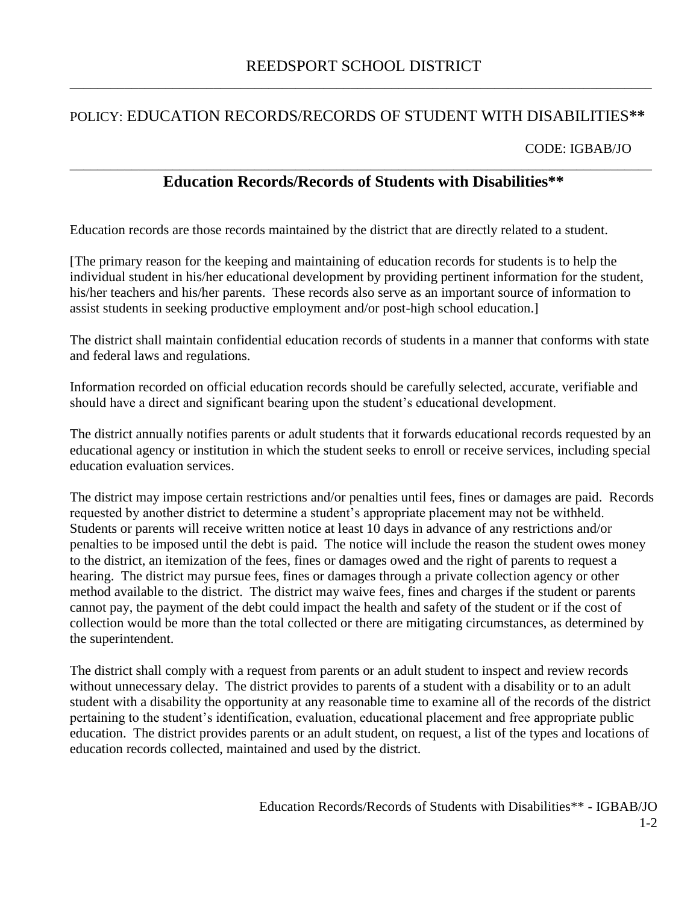# POLICY: EDUCATION RECORDS/RECORDS OF STUDENT WITH DISABILITIES**\*\***

### CODE: IGBAB/JO

## \_\_\_\_\_\_\_\_\_\_\_\_\_\_\_\_\_\_\_\_\_\_\_\_\_\_\_\_\_\_\_\_\_\_\_\_\_\_\_\_\_\_\_\_\_\_\_\_\_\_\_\_\_\_\_\_\_\_\_\_\_\_\_\_\_\_\_\_\_\_\_\_\_\_\_\_\_\_\_\_\_\_\_\_\_ **Education Records/Records of Students with Disabilities\*\***

Education records are those records maintained by the district that are directly related to a student.

[The primary reason for the keeping and maintaining of education records for students is to help the individual student in his/her educational development by providing pertinent information for the student, his/her teachers and his/her parents. These records also serve as an important source of information to assist students in seeking productive employment and/or post-high school education.]

The district shall maintain confidential education records of students in a manner that conforms with state and federal laws and regulations.

Information recorded on official education records should be carefully selected, accurate, verifiable and should have a direct and significant bearing upon the student's educational development.

The district annually notifies parents or adult students that it forwards educational records requested by an educational agency or institution in which the student seeks to enroll or receive services, including special education evaluation services.

The district may impose certain restrictions and/or penalties until fees, fines or damages are paid. Records requested by another district to determine a student's appropriate placement may not be withheld. Students or parents will receive written notice at least 10 days in advance of any restrictions and/or penalties to be imposed until the debt is paid. The notice will include the reason the student owes money to the district, an itemization of the fees, fines or damages owed and the right of parents to request a hearing. The district may pursue fees, fines or damages through a private collection agency or other method available to the district. The district may waive fees, fines and charges if the student or parents cannot pay, the payment of the debt could impact the health and safety of the student or if the cost of collection would be more than the total collected or there are mitigating circumstances, as determined by the superintendent.

The district shall comply with a request from parents or an adult student to inspect and review records without unnecessary delay. The district provides to parents of a student with a disability or to an adult student with a disability the opportunity at any reasonable time to examine all of the records of the district pertaining to the student's identification, evaluation, educational placement and free appropriate public education. The district provides parents or an adult student, on request, a list of the types and locations of education records collected, maintained and used by the district.